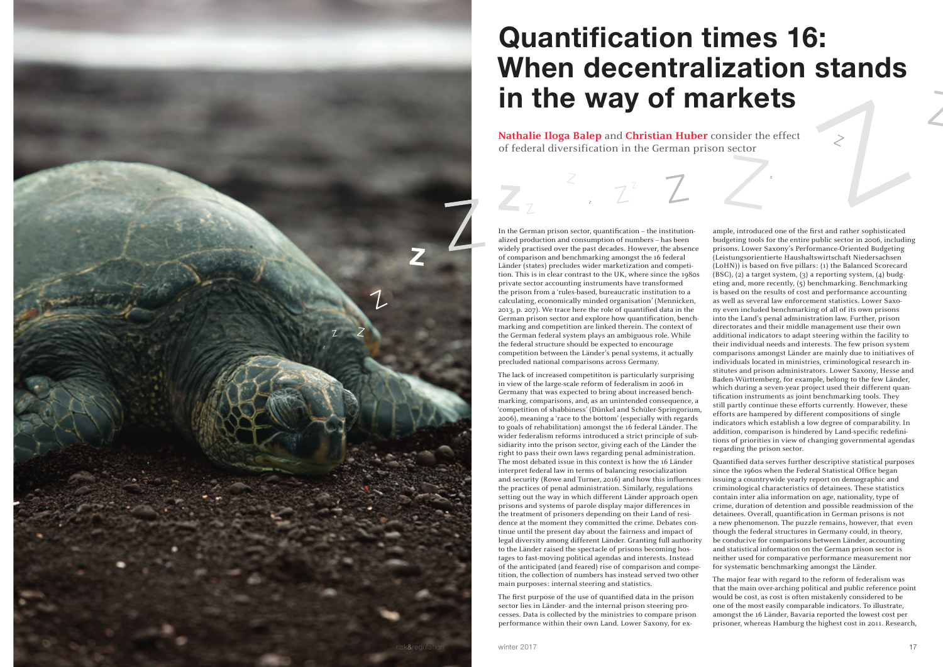## Quantification times 16: When decentralization stands in the way of markets

**Nathalie Iloga Balep** and **Christian Huber** consider the effect of federal diversification in the German prison sector

In the German prison sector, quantification - the institutionalized production and consumption of numbers – has been widely practised over the past decades. However, the absence of comparison and benchmarking amongst the 16 federal Länder (states) precludes wider marketization and competi tion. This is in clear contrast to the UK, where since the 1980s private sector accounting instruments have transformed the prison from a 'rules-based, bureaucratic institution to a calculating, economically minded organisation' (Mennicken, 2013, p. 207). We trace here the role of quantified data in the German prison sector and explore how quantification, bench marking and competition are linked therein. The context of the German federal system plays an ambiguous role. While the federal structure should be expected to encourage competition between the Länder's penal systems, it actually precluded national comparisons across Germany.

The first purpose of the use of quantified data in the prison sector lies in Länder- and the internal prison steering pro cesses. Data is collected by the ministries to compare prison performance within their own Land. Lower Saxony, for ex -

The lack of increased competititon is particularly surprising in view of the large-scale reform of federalism in 2006 in Germany that was expected to bring about increased bench marking, comparisons, and, as an unintended consequence, a 'competition of shabbiness' (Dünkel and Schüler-Springorium, 2006), meaning a 'race to the bottom' (especially with regards to goals of rehabilitation) amongst the 16 federal Länder. The wider federalism reforms introduced a strict principle of sub sidiarity into the prison sector, giving each of the Länder the right to pass their own laws regarding penal administration. The most debated issue in this context is how the 16 Länder interpret federal law in terms of balancing resocialization and security (Rowe and Turner, 2016) and how this influences the practices of penal administration. Similarly, regulations setting out the way in which different Länder approach open prisons and systems of parole display major differences in the treatment of prisoners depending on their Land of resi dence at the moment they committed the crime. Debates con tinue until the present day about the fairness and impact of legal diversity among different Länder. Granting full authority to the Länder raised the spectacle of prisons becoming hos tages to fast-moving political agendas and interests. Instead of the anticipated (and feared) rise of comparison and compe tition, the collection of numbers has instead served two other main purposes: internal steering and statistics. Baden-Württemberg, for example, belong to the few Länder, which during a seven-year project used their different quan tification instruments as joint benchmarking tools. They still partly continue these efforts currently. However, these efforts are hampered by different compositions of single indicators which establish a low degree of comparability. In addition, comparison is hindered by Land-specific redefini tions of priorities in view of changing governmental agendas regarding the prison sector. Quantified data serves further descriptive statistical purposes since the 1960s when the Federal Statistical Office began issuing a countrywide yearly report on demographic and criminological characteristics of detainees. These statistics contain inter alia information on age, nationality, type of crime, duration of detention and possible readmission of the detainees. Overall, quantification in German prisons is not a new phenomenon. The puzzle remains, however, that even though the federal structures in Germany could, in theory, be conducive for comparisons between Länder, accounting and statistical information on the German prison sector is neither used for comparative performance measurement nor for systematic benchmarking amongst the Länder. The major fear with regard to the reform of federalism was

ample, introduced one of the first and rather sophisticated budgeting tools for the entire public sector in 2006, including prisons. Lower Saxony's Performance-Oriented Budgeting (Leistungsorientierte Haushaltswirtschaft Niedersachsen (LoHN)) is based on five pillars: (1) the Balanced Scorecard (BSC), (2) a target system, (3) a reporting system, (4) budg eting and, more recently, (5) benchmarking. Benchmarking is based on the results of cost and performance accounting as well as several law enforcement statistics. Lower Saxo ny even included benchmarking of all of its own prisons into the Land's penal administration law. Further, prison directorates and their middle management use their own additional indicators to adapt steering within the facility to their individual needs and interests. The few prison system comparisons amongst Länder are mainly due to initiatives of individuals located in ministries, criminological research in stitutes and prison administrators. Lower Saxony, Hesse and

that the main over-arching political and public reference point would be cost, as cost is often mistakenly considered to be one of the most easily comparable indicators. To illustrate, amongst the 16 Länder, Bavaria reported the lowest cost per prisoner, whereas Hamburg the highest cost in 2011. Research,